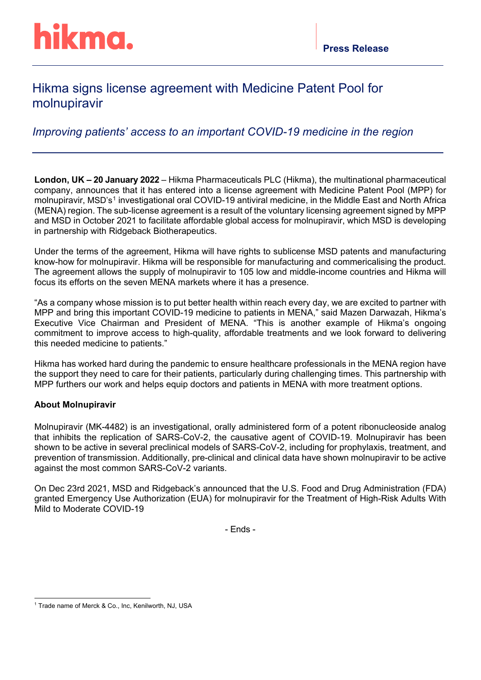## Hikma signs license agreement with Medicine Patent Pool for molnupiravir

*Improving patients' access to an important COVID-19 medicine in the region*

**London, UK – 20 January 2022** – Hikma Pharmaceuticals PLC (Hikma), the multinational pharmaceutical company, announces that it has entered into a license agreement with Medicine Patent Pool (MPP) for molnupiravir, MSD's<sup>[1](#page-0-0)</sup> investigational oral COVID-19 antiviral medicine, in the Middle East and North Africa (MENA) region. The sub-license agreement is a result of the voluntary licensing agreement signed by MPP and MSD in October 2021 to facilitate affordable global access for molnupiravir, which MSD is developing in partnership with Ridgeback Biotherapeutics.

Under the terms of the agreement, Hikma will have rights to sublicense MSD patents and manufacturing know-how for molnupiravir. Hikma will be responsible for manufacturing and commericalising the product. The agreement allows the supply of molnupiravir to 105 low and middle-income countries and Hikma will focus its efforts on the seven MENA markets where it has a presence.

"As a company whose mission is to put better health within reach every day, we are excited to partner with MPP and bring this important COVID-19 medicine to patients in MENA," said Mazen Darwazah, Hikma's Executive Vice Chairman and President of MENA. "This is another example of Hikma's ongoing commitment to improve access to high-quality, affordable treatments and we look forward to delivering this needed medicine to patients."

Hikma has worked hard during the pandemic to ensure healthcare professionals in the MENA region have the support they need to care for their patients, particularly during challenging times. This partnership with MPP furthers our work and helps equip doctors and patients in MENA with more treatment options.

#### **About Molnupiravir**

Molnupiravir (MK-4482) is an investigational, orally administered form of a potent ribonucleoside analog that inhibits the replication of SARS-CoV-2, the causative agent of COVID-19. Molnupiravir has been shown to be active in several preclinical models of SARS-CoV-2, including for prophylaxis, treatment, and prevention of transmission. Additionally, pre-clinical and clinical data have shown molnupiravir to be active against the most common SARS-CoV-2 variants.

On Dec 23rd 2021, MSD and Ridgeback's announced that the U.S. Food and Drug Administration (FDA) granted Emergency Use Authorization (EUA) for molnupiravir for the Treatment of High-Risk Adults With Mild to Moderate COVID-19

- Ends -

<span id="page-0-0"></span><sup>&</sup>lt;sup>1</sup> Trade name of Merck & Co., Inc, Kenilworth, NJ, USA